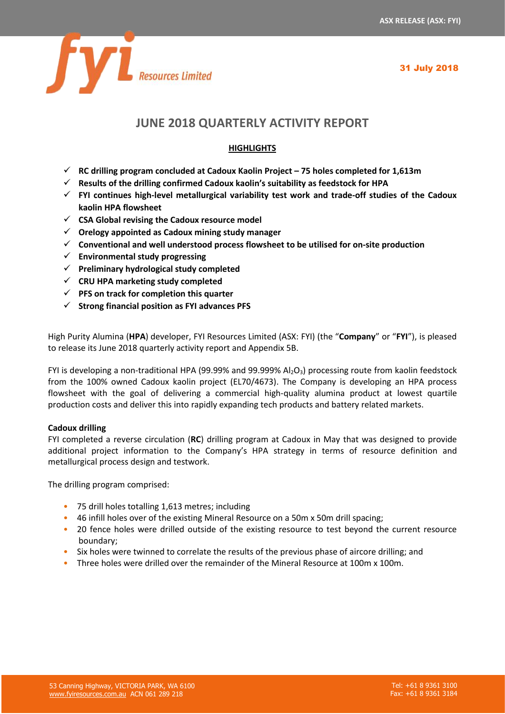

# **JUNE 2018 QUARTERLY ACTIVITY REPORT**

## **HIGHLIGHTS**

- ✓ **RC drilling program concluded at Cadoux Kaolin Project – 75 holes completed for 1,613m**
- ✓ **Results of the drilling confirmed Cadoux kaolin's suitability as feedstock for HPA**
- ✓ **FYI continues high-level metallurgical variability test work and trade-off studies of the Cadoux kaolin HPA flowsheet**
- ✓ **CSA Global revising the Cadoux resource model**
- ✓ **Orelogy appointed as Cadoux mining study manager**
- ✓ **Conventional and well understood process flowsheet to be utilised for on-site production**
- ✓ **Environmental study progressing**
- ✓ **Preliminary hydrological study completed**
- ✓ **CRU HPA marketing study completed**
- ✓ **PFS on track for completion this quarter**
- ✓ **Strong financial position as FYI advances PFS**

High Purity Alumina (**HPA**) developer, FYI Resources Limited (ASX: FYI) (the "**Company**" or "**FYI**"), is pleased to release its June 2018 quarterly activity report and Appendix 5B.

FYI is developing a non-traditional HPA (99.99% and 99.999%  $Al_2O_3$ ) processing route from kaolin feedstock from the 100% owned Cadoux kaolin project (EL70/4673). The Company is developing an HPA process flowsheet with the goal of delivering a commercial high-quality alumina product at lowest quartile production costs and deliver this into rapidly expanding tech products and battery related markets.

#### **Cadoux drilling**

FYI completed a reverse circulation (**RC**) drilling program at Cadoux in May that was designed to provide additional project information to the Company's HPA strategy in terms of resource definition and metallurgical process design and testwork.

The drilling program comprised:

- 75 drill holes totalling 1,613 metres; including
- 46 infill holes over of the existing Mineral Resource on a 50m x 50m drill spacing;
- 20 fence holes were drilled outside of the existing resource to test beyond the current resource boundary;
- Six holes were twinned to correlate the results of the previous phase of aircore drilling; and
- Three holes were drilled over the remainder of the Mineral Resource at 100m x 100m.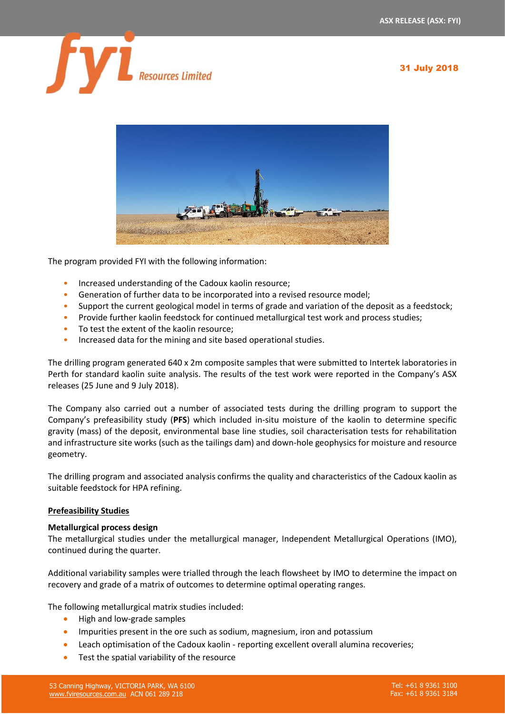



The program provided FYI with the following information:

- Increased understanding of the Cadoux kaolin resource;
- Generation of further data to be incorporated into a revised resource model;
- Support the current geological model in terms of grade and variation of the deposit as a feedstock;
- Provide further kaolin feedstock for continued metallurgical test work and process studies;
- To test the extent of the kaolin resource;
- Increased data for the mining and site based operational studies.

The drilling program generated 640 x 2m composite samples that were submitted to Intertek laboratories in Perth for standard kaolin suite analysis. The results of the test work were reported in the Company's ASX releases (25 June and 9 July 2018).

The Company also carried out a number of associated tests during the drilling program to support the Company's prefeasibility study (**PFS**) which included in-situ moisture of the kaolin to determine specific gravity (mass) of the deposit, environmental base line studies, soil characterisation tests for rehabilitation and infrastructure site works (such as the tailings dam) and down-hole geophysics for moisture and resource geometry.

The drilling program and associated analysis confirms the quality and characteristics of the Cadoux kaolin as suitable feedstock for HPA refining.

#### **Prefeasibility Studies**

#### **Metallurgical process design**

The metallurgical studies under the metallurgical manager, Independent Metallurgical Operations (IMO), continued during the quarter.

Additional variability samples were trialled through the leach flowsheet by IMO to determine the impact on recovery and grade of a matrix of outcomes to determine optimal operating ranges.

The following metallurgical matrix studies included:

- High and low-grade samples
- Impurities present in the ore such as sodium, magnesium, iron and potassium
- Leach optimisation of the Cadoux kaolin reporting excellent overall alumina recoveries;
- Test the spatial variability of the resource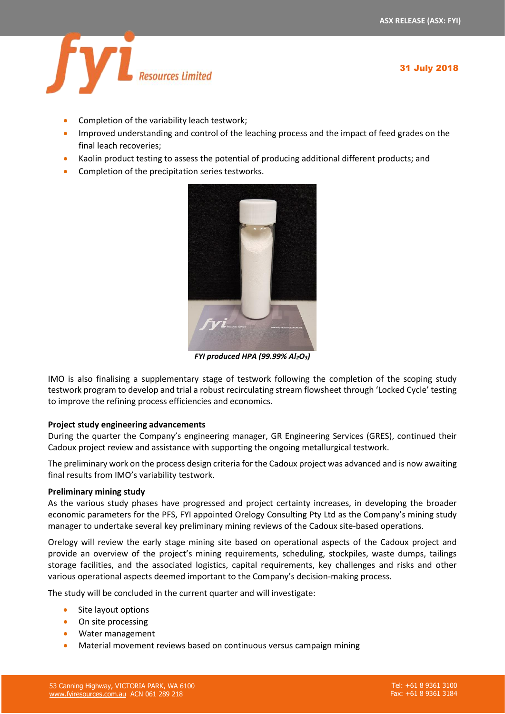

- Completion of the variability leach testwork;
- Improved understanding and control of the leaching process and the impact of feed grades on the final leach recoveries;
- Kaolin product testing to assess the potential of producing additional different products; and
- Completion of the precipitation series testworks.



*FYI produced HPA (99.99% Al2O3)*

IMO is also finalising a supplementary stage of testwork following the completion of the scoping study testwork program to develop and trial a robust recirculating stream flowsheet through 'Locked Cycle' testing to improve the refining process efficiencies and economics.

#### **Project study engineering advancements**

During the quarter the Company's engineering manager, GR Engineering Services (GRES), continued their Cadoux project review and assistance with supporting the ongoing metallurgical testwork.

The preliminary work on the process design criteria for the Cadoux project was advanced and is now awaiting final results from IMO's variability testwork.

#### **Preliminary mining study**

As the various study phases have progressed and project certainty increases, in developing the broader economic parameters for the PFS, FYI appointed Orelogy Consulting Pty Ltd as the Company's mining study manager to undertake several key preliminary mining reviews of the Cadoux site-based operations.

Orelogy will review the early stage mining site based on operational aspects of the Cadoux project and provide an overview of the project's mining requirements, scheduling, stockpiles, waste dumps, tailings storage facilities, and the associated logistics, capital requirements, key challenges and risks and other various operational aspects deemed important to the Company's decision-making process.

The study will be concluded in the current quarter and will investigate:

- Site layout options
- On site processing
- Water management
- Material movement reviews based on continuous versus campaign mining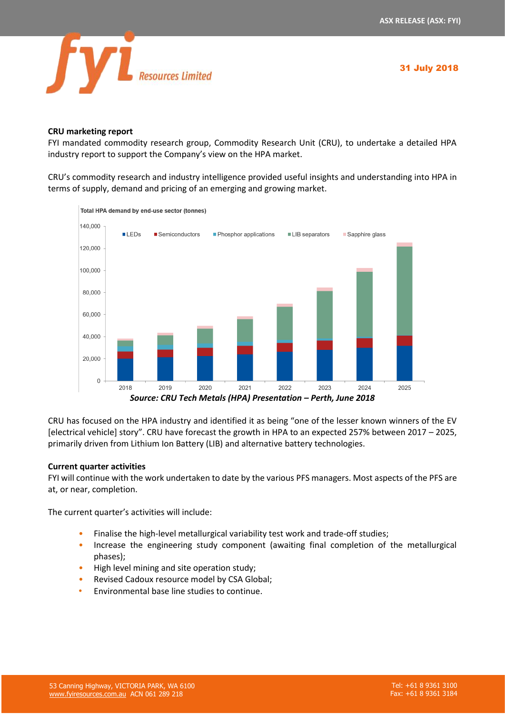

### **CRU marketing report**

FYI mandated commodity research group, Commodity Research Unit (CRU), to undertake a detailed HPA industry report to support the Company's view on the HPA market.

CRU's commodity research and industry intelligence provided useful insights and understanding into HPA in terms of supply, demand and pricing of an emerging and growing market.



Total HPA demand by end-use sector (tonnes)

CRU has focused on the HPA industry and identified it as being "one of the lesser known winners of the EV [electrical vehicle] story". CRU have forecast the growth in HPA to an expected 257% between 2017 – 2025, primarily driven from Lithium Ion Battery (LIB) and alternative battery technologies.

#### **Current quarter activities**

FYI will continue with the work undertaken to date by the various PFS managers. Most aspects of the PFS are at, or near, completion.

The current quarter's activities will include:

- Finalise the high-level metallurgical variability test work and trade-off studies;
- Increase the engineering study component (awaiting final completion of the metallurgical phases);
- High level mining and site operation study;
- Revised Cadoux resource model by CSA Global;
- Environmental base line studies to continue.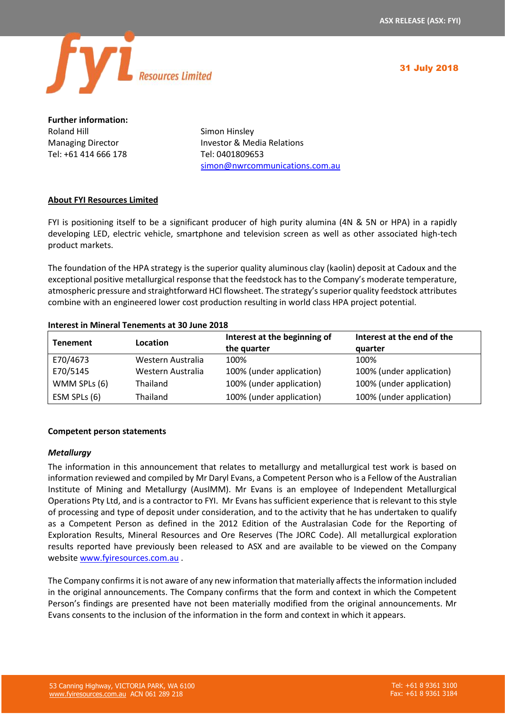

**Further information:** Roland Hill **Simon Hinsley** Tel: +61 414 666 178 Tel: 0401809653

Managing Director **Investor & Media Relations** [simon@nwrcommunications.com.au](mailto:simon@nwrcommunications.com.au)

## **About FYI Resources Limited**

FYI is positioning itself to be a significant producer of high purity alumina (4N & 5N or HPA) in a rapidly developing LED, electric vehicle, smartphone and television screen as well as other associated high-tech product markets.

The foundation of the HPA strategy is the superior quality aluminous clay (kaolin) deposit at Cadoux and the exceptional positive metallurgical response that the feedstock has to the Company's moderate temperature, atmospheric pressure and straightforward HCl flowsheet. The strategy's superior quality feedstock attributes combine with an engineered lower cost production resulting in world class HPA project potential.

#### **Interest in Mineral Tenements at 30 June 2018**

| <b>Tenement</b> | Location          | Interest at the beginning of<br>the quarter | Interest at the end of the<br>quarter |
|-----------------|-------------------|---------------------------------------------|---------------------------------------|
| E70/4673        | Western Australia | 100%                                        | 100%                                  |
| E70/5145        | Western Australia | 100% (under application)                    | 100% (under application)              |
| WMM SPLs (6)    | <b>Thailand</b>   | 100% (under application)                    | 100% (under application)              |
| ESM SPLs (6)    | Thailand          | 100% (under application)                    | 100% (under application)              |

#### **Competent person statements**

#### *Metallurgy*

The information in this announcement that relates to metallurgy and metallurgical test work is based on information reviewed and compiled by Mr Daryl Evans, a Competent Person who is a Fellow of the Australian Institute of Mining and Metallurgy (AusIMM). Mr Evans is an employee of Independent Metallurgical Operations Pty Ltd, and is a contractor to FYI. Mr Evans has sufficient experience that is relevant to this style of processing and type of deposit under consideration, and to the activity that he has undertaken to qualify as a Competent Person as defined in the 2012 Edition of the Australasian Code for the Reporting of Exploration Results, Mineral Resources and Ore Reserves (The JORC Code). All metallurgical exploration results reported have previously been released to ASX and are available to be viewed on the Company website [www.fyiresources.com.au](http://www.fyiresources.com.au/) .

The Company confirms it is not aware of any new information that materially affects the information included in the original announcements. The Company confirms that the form and context in which the Competent Person's findings are presented have not been materially modified from the original announcements. Mr Evans consents to the inclusion of the information in the form and context in which it appears.